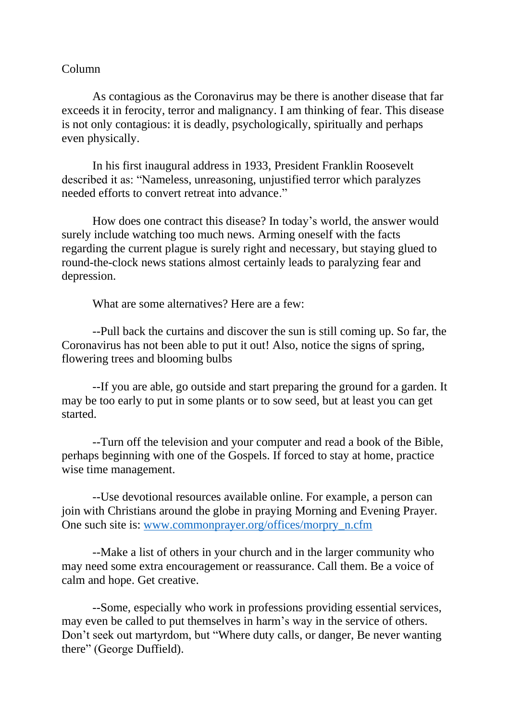## Column

As contagious as the Coronavirus may be there is another disease that far exceeds it in ferocity, terror and malignancy. I am thinking of fear. This disease is not only contagious: it is deadly, psychologically, spiritually and perhaps even physically.

In his first inaugural address in 1933, President Franklin Roosevelt described it as: "Nameless, unreasoning, unjustified terror which paralyzes needed efforts to convert retreat into advance."

How does one contract this disease? In today's world, the answer would surely include watching too much news. Arming oneself with the facts regarding the current plague is surely right and necessary, but staying glued to round-the-clock news stations almost certainly leads to paralyzing fear and depression.

What are some alternatives? Here are a few:

--Pull back the curtains and discover the sun is still coming up. So far, the Coronavirus has not been able to put it out! Also, notice the signs of spring, flowering trees and blooming bulbs

--If you are able, go outside and start preparing the ground for a garden. It may be too early to put in some plants or to sow seed, but at least you can get started.

--Turn off the television and your computer and read a book of the Bible, perhaps beginning with one of the Gospels. If forced to stay at home, practice wise time management.

--Use devotional resources available online. For example, a person can join with Christians around the globe in praying Morning and Evening Prayer. One such site is: [www.commonprayer.org/offices/morpry\\_n.cfm](http://www.commonprayer.org/offices/morpry_n.cfm)

--Make a list of others in your church and in the larger community who may need some extra encouragement or reassurance. Call them. Be a voice of calm and hope. Get creative.

--Some, especially who work in professions providing essential services, may even be called to put themselves in harm's way in the service of others. Don't seek out martyrdom, but "Where duty calls, or danger, Be never wanting there" (George Duffield).